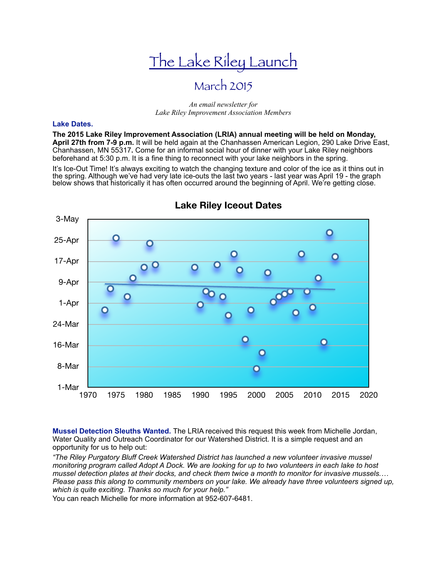# The Lake Riley Launch

## March 2015

#### *An email newsletter for Lake Riley Improvement Association Members*

#### **Lake Dates.**

**The 2015 Lake Riley Improvement Association (LRIA) annual meeting will be held on Monday, April 27th from 7-9 p.m.** It will be held again at the Chanhassen American Legion, 290 Lake Drive East, Chanhassen, MN 55317**.** Come for an informal social hour of dinner with your Lake Riley neighbors beforehand at 5:30 p.m. It is a fine thing to reconnect with your lake neighbors in the spring.

It's Ice-Out Time! It's always exciting to watch the changing texture and color of the ice as it thins out in the spring. Although we've had very late ice-outs the last two years - last year was April 19 - the graph below shows that historically it has often occurred around the beginning of April. We're getting close.



### **Lake Riley Iceout Dates**

**Mussel Detection Sleuths Wanted.** The LRIA received this request this week from Michelle Jordan, Water Quality and Outreach Coordinator for our Watershed District. It is a simple request and an opportunity for us to help out:

*"The Riley Purgatory Bluff Creek Watershed District has launched a new volunteer invasive mussel monitoring program called Adopt A Dock. We are looking for up to two volunteers in each lake to host mussel detection plates at their docks, and check them twice a month to monitor for invasive mussels.… Please pass this along to community members on your lake. We already have three volunteers signed up, which is quite exciting. Thanks so much for your help."* 

You can reach Michelle for more information at 952-607-6481.